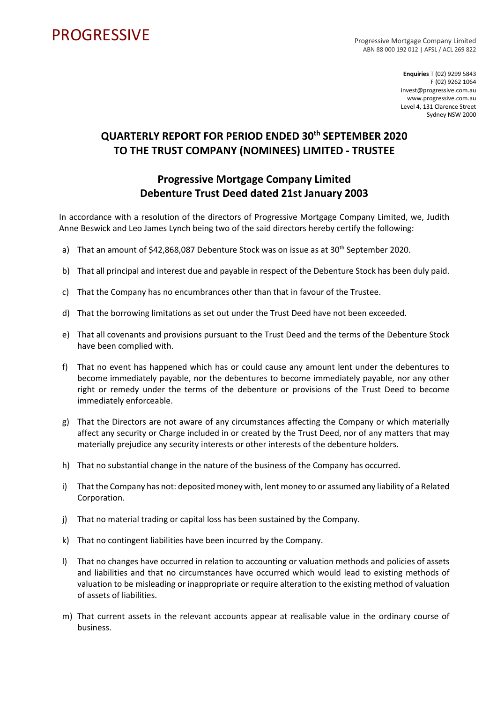## **PROGRESSIVE**

Progressive Mortgage Company Limited ABN 88 000 192 012 | AFSL / ACL 269 822

> **Enquiries** T (02) 9299 5843 F (02) 9262 1064 invest@progressive.com.au www.progressive.com.au Level 4, 131 Clarence Street Sydney NSW 2000

## **QUARTERLY REPORT FOR PERIOD ENDED 30th SEPTEMBER 2020 TO THE TRUST COMPANY (NOMINEES) LIMITED - TRUSTEE**

## **Progressive Mortgage Company Limited Debenture Trust Deed dated 21st January 2003**

In accordance with a resolution of the directors of Progressive Mortgage Company Limited, we, Judith Anne Beswick and Leo James Lynch being two of the said directors hereby certify the following:

- a) That an amount of \$42,868,087 Debenture Stock was on issue as at 30<sup>th</sup> September 2020.
- b) That all principal and interest due and payable in respect of the Debenture Stock has been duly paid.
- c) That the Company has no encumbrances other than that in favour of the Trustee.
- d) That the borrowing limitations as set out under the Trust Deed have not been exceeded.
- e) That all covenants and provisions pursuant to the Trust Deed and the terms of the Debenture Stock have been complied with.
- f) That no event has happened which has or could cause any amount lent under the debentures to become immediately payable, nor the debentures to become immediately payable, nor any other right or remedy under the terms of the debenture or provisions of the Trust Deed to become immediately enforceable.
- g) That the Directors are not aware of any circumstances affecting the Company or which materially affect any security or Charge included in or created by the Trust Deed, nor of any matters that may materially prejudice any security interests or other interests of the debenture holders.
- h) That no substantial change in the nature of the business of the Company has occurred.
- i) That the Company has not: deposited money with, lent money to or assumed any liability of a Related Corporation.
- j) That no material trading or capital loss has been sustained by the Company.
- k) That no contingent liabilities have been incurred by the Company.
- l) That no changes have occurred in relation to accounting or valuation methods and policies of assets and liabilities and that no circumstances have occurred which would lead to existing methods of valuation to be misleading or inappropriate or require alteration to the existing method of valuation of assets of liabilities.
- m) That current assets in the relevant accounts appear at realisable value in the ordinary course of business.